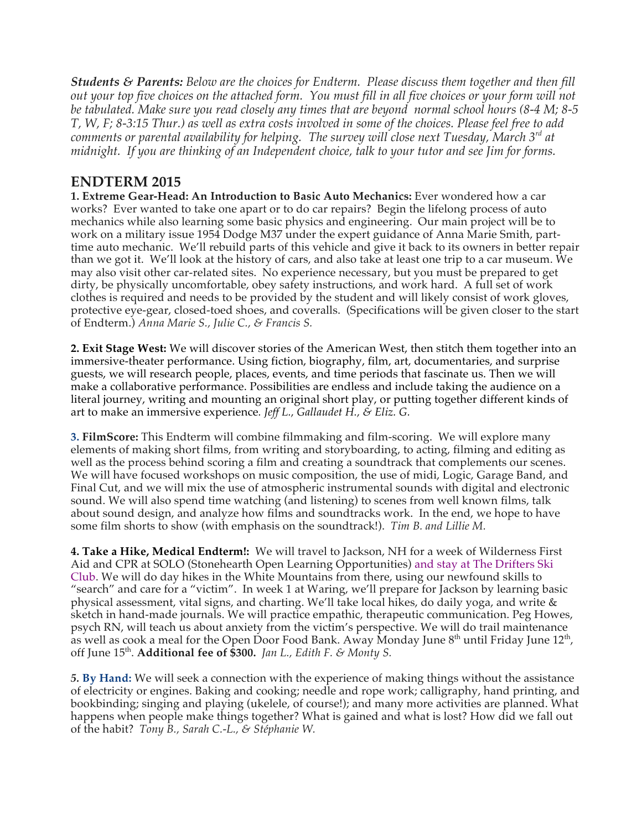*Students & Parents: Below are the choices for Endterm. Please discuss them together and then fill*  out your top five choices on the attached form. You must fill in all five choices or your form will not *be tabulated. Make sure you read closely any times that are beyond normal school hours (8-4 M; 8-5 T, W, F; 8-3:15 Thur.) as well as extra costs involved in some of the choices. Please feel free to add comments or parental availability for helping. The survey will close next Tuesday, March 3rd at midnight. If you are thinking of an Independent choice, talk to your tutor and see Jim for forms.*

## **ENDTERM 2015**

**1. Extreme Gear-Head: An Introduction to Basic Auto Mechanics:** Ever wondered how a car works? Ever wanted to take one apart or to do car repairs? Begin the lifelong process of auto mechanics while also learning some basic physics and engineering. Our main project will be to work on a military issue 1954 Dodge M37 under the expert guidance of Anna Marie Smith, parttime auto mechanic. We'll rebuild parts of this vehicle and give it back to its owners in better repair than we got it. We'll look at the history of cars, and also take at least one trip to a car museum. We may also visit other car-related sites. No experience necessary, but you must be prepared to get dirty, be physically uncomfortable, obey safety instructions, and work hard. A full set of work clothes is required and needs to be provided by the student and will likely consist of work gloves, protective eye-gear, closed-toed shoes, and coveralls. (Specifications will be given closer to the start of Endterm.) *Anna Marie S., Julie C., & Francis S.* 

**2. Exit Stage West:** We will discover stories of the American West, then stitch them together into an immersive-theater performance. Using fiction, biography, film, art, documentaries, and surprise guests, we will research people, places, events, and time periods that fascinate us. Then we will make a collaborative performance. Possibilities are endless and include taking the audience on a literal journey, writing and mounting an original short play, or putting together different kinds of art to make an immersive experience*. Jeff L., Gallaudet H., & Eliz. G.*

**3. FilmScore:** This Endterm will combine filmmaking and film-scoring. We will explore many elements of making short films, from writing and storyboarding, to acting, filming and editing as well as the process behind scoring a film and creating a soundtrack that complements our scenes. We will have focused workshops on music composition, the use of midi, Logic, Garage Band, and Final Cut, and we will mix the use of atmospheric instrumental sounds with digital and electronic sound. We will also spend time watching (and listening) to scenes from well known films, talk about sound design, and analyze how films and soundtracks work. In the end, we hope to have some film shorts to show (with emphasis on the soundtrack!). *Tim B. and Lillie M.*

**4. Take a Hike, Medical Endterm!:** We will travel to Jackson, NH for a week of Wilderness First Aid and CPR at SOLO (Stonehearth Open Learning Opportunities) and stay at The Drifters Ski Club. We will do day hikes in the White Mountains from there, using our newfound skills to "search" and care for a "victim". In week 1 at Waring, we'll prepare for Jackson by learning basic physical assessment, vital signs, and charting. We'll take local hikes, do daily yoga, and write & sketch in hand-made journals. We will practice empathic, therapeutic communication. Peg Howes, psych RN, will teach us about anxiety from the victim's perspective. We will do trail maintenance as well as cook a meal for the Open Door Food Bank. Away Monday June  $8<sup>th</sup>$  until Friday June  $12<sup>th</sup>$ , off June 15th. **Additional fee of \$300.** *Jan L., Edith F. & Monty S.*

*5.* **By Hand:** We will seek a connection with the experience of making things without the assistance of electricity or engines. Baking and cooking; needle and rope work; calligraphy, hand printing, and bookbinding; singing and playing (ukelele, of course!); and many more activities are planned. What happens when people make things together? What is gained and what is lost? How did we fall out of the habit? *Tony B., Sarah C.-L., & Stéphanie W.*